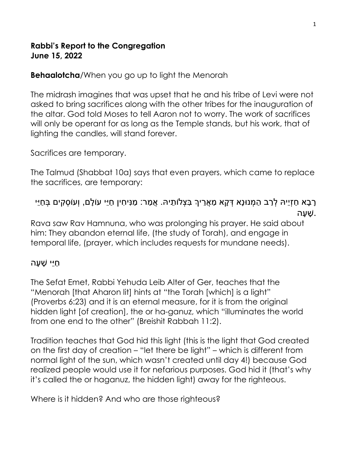## Rabbi's Report to the Congregation June 15, 2022

**Behaalotcha/When you go up to light the Menorah** 

The midrash imagines that was upset that he and his tribe of Levi were not asked to bring sacrifices along with the other tribes for the inauguration of the altar. God told Moses to tell Aaron not to worry. The work of sacrifices will only be operant for as long as the Temple stands, but his work, that of lighting the candles, will stand forever.

Sacrifices are temporary.

The Talmud (Shabbat 10a) says that even prayers, which came to replace the sacrifices, are temporary:

## ָרָבָא חַזָיֵיהּ לְרַב הַמְנוּנָא דְּקָא מַאֵרֵיךָ בִּצְלוֹתֵיהּ. אֵמַר: מַנִּיחִין חַיֵּי עוֹלָם, וְעוֹסְקִים בְּחַיֵּי . ָשׁ ָעה

Rava saw Rav Hamnuna, who was prolonging his prayer. He said about him: They abandon eternal life, (the study of Torah), and engage in temporal life, (prayer, which includes requests for mundane needs).

## ַחֵיּי ָשׁ ָעה

The Sefat Emet, Rabbi Yehuda Leib Alter of Ger, teaches that the "Menorah [that Aharon lit] hints at "the Torah [which] is a light" (Proverbs 6:23) and it is an eternal measure, for it is from the original hidden light [of creation], the or ha-ganuz, which "illuminates the world from one end to the other" (Breishit Rabbah 11:2).

Tradition teaches that God hid this light (this is the light that God created on the first day of creation – "let there be light" – which is different from normal light of the sun, which wasn't created until day 4!) because God realized people would use it for nefarious purposes. God hid it (that's why it's called the or haganuz, the hidden light) away for the righteous.

Where is it hidden? And who are those righteous?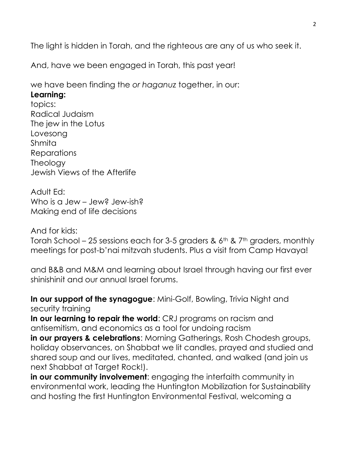The light is hidden in Torah, and the righteous are any of us who seek it.

And, have we been engaged in Torah, this past year!

we have been finding the or haganuz together, in our: Learning: topics: Radical Judaism The jew in the Lotus

Lovesong Shmita **Reparations Theology** Jewish Views of the Afterlife

Adult Ed: Who is a Jew – Jew? Jew-ish? Making end of life decisions

And for kids:

Torah School – 25 sessions each for 3-5 graders &  $6<sup>th</sup>$  & 7<sup>th</sup> graders, monthly meetings for post-b'nai mitzvah students. Plus a visit from Camp Havaya!

and B&B and M&M and learning about Israel through having our first ever shinishinit and our annual Israel forums.

In our support of the synagogue: Mini-Golf, Bowling, Trivia Night and security training

In our learning to repair the world: CRJ programs on racism and antisemitism, and economics as a tool for undoing racism

in our prayers & celebrations: Morning Gatherings, Rosh Chodesh groups, holiday observances, on Shabbat we lit candles, prayed and studied and shared soup and our lives, meditated, chanted, and walked (and join us next Shabbat at Target Rock!).

in our community involvement: engaging the interfaith community in environmental work, leading the Huntington Mobilization for Sustainability and hosting the first Huntington Environmental Festival, welcoming a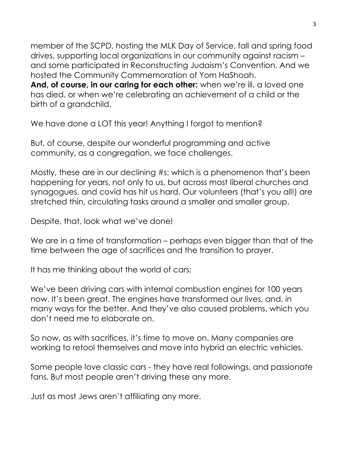member of the SCPD, hosting the MLK Day of Service, fall and spring food drives, supporting local organizations in our community against racism – and some participated in Reconstructing Judaism's Convention. And we hosted the Community Commemoration of Yom HaShoah. And, of course, in our caring for each other: when we're ill, a loved one has died, or when we're celebrating an achievement of a child or the birth of a grandchild.

We have done a LOT this year! Anything I forgot to mention?

But, of course, despite our wonderful programming and active community, as a congregation, we face challenges.

Mostly, these are in our declining #s: which is a phenomenon that's been happening for years, not only to us, but across most liberal churches and synagogues, and covid has hit us hard. Our volunteers (that's you all!) are stretched thin, circulating tasks around a smaller and smaller group.

Despite, that, look what we've done!

We are in a time of transformation – perhaps even bigger than that of the time between the age of sacrifices and the transition to prayer.

It has me thinking about the world of cars:

We've been driving cars with internal combustion engines for 100 years now. It's been great. The engines have transformed our lives, and, in many ways for the better. And they've also caused problems, which you don't need me to elaborate on.

So now, as with sacrifices, it's time to move on. Many companies are working to retool themselves and move into hybrid an electric vehicles.

Some people love classic cars - they have real followings, and passionate fans. But most people aren't driving these any more.

Just as most Jews aren't affiliating any more.